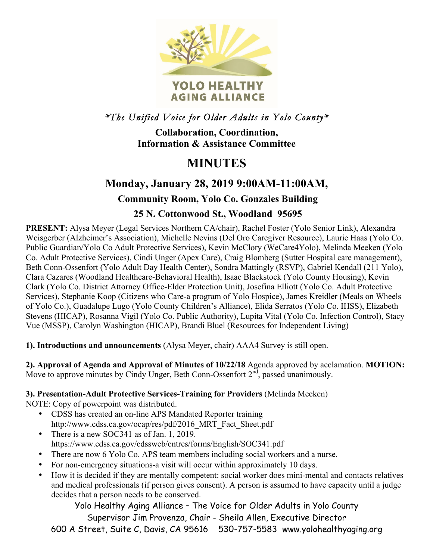

*\*The Unified Voice for Older Adults in Yolo County\** 

**Collaboration, Coordination, Information & Assistance Committee**

# **MINUTES**

# **Monday, January 28, 2019 9:00AM-11:00AM,**

## **Community Room, Yolo Co. Gonzales Building**

### **25 N. Cottonwood St., Woodland 95695**

**PRESENT:** Alysa Meyer (Legal Services Northern CA/chair), Rachel Foster (Yolo Senior Link), Alexandra Weisgerber (Alzheimer's Association), Michelle Nevins (Del Oro Caregiver Resource), Laurie Haas (Yolo Co. Public Guardian/Yolo Co Adult Protective Services), Kevin McClory (WeCare4Yolo), Melinda Meeken (Yolo Co. Adult Protective Services), Cindi Unger (Apex Care), Craig Blomberg (Sutter Hospital care management), Beth Conn-Ossenfort (Yolo Adult Day Health Center), Sondra Mattingly (RSVP), Gabriel Kendall (211 Yolo), Clara Cazares (Woodland Healthcare-Behavioral Health), Isaac Blackstock (Yolo County Housing), Kevin Clark (Yolo Co. District Attorney Office-Elder Protection Unit), Josefina Elliott (Yolo Co. Adult Protective Services), Stephanie Koop (Citizens who Care-a program of Yolo Hospice), James Kreidler (Meals on Wheels of Yolo Co.), Guadalupe Lugo (Yolo County Children's Alliance), Elida Serratos (Yolo Co. IHSS), Elizabeth Stevens (HICAP), Rosanna Vigil (Yolo Co. Public Authority), Lupita Vital (Yolo Co. Infection Control), Stacy Vue (MSSP), Carolyn Washington (HICAP), Brandi Bluel (Resources for Independent Living)

**1). Introductions and announcements** (Alysa Meyer, chair) AAA4 Survey is still open.

**2). Approval of Agenda and Approval of Minutes of 10/22/18** Agenda approved by acclamation. **MOTION:**  Move to approve minutes by Cindy Unger, Beth Conn-Ossenfort  $2<sup>nd</sup>$ , passed unanimously.

**3). Presentation-Adult Protective Services-Training for Providers** (Melinda Meeken)

NOTE: Copy of powerpoint was distributed.

- CDSS has created an on-line APS Mandated Reporter training http://www.cdss.ca.gov/ocap/res/pdf/2016\_MRT\_Fact\_Sheet.pdf
- There is a new SOC341 as of Jan. 1, 2019. https://www.cdss.ca.gov/cdssweb/entres/forms/English/SOC341.pdf
- There are now 6 Yolo Co. APS team members including social workers and a nurse.
- For non-emergency situations-a visit will occur within approximately 10 days.
- How it is decided if they are mentally competent: social worker does mini-mental and contacts relatives and medical professionals (if person gives consent). A person is assumed to have capacity until a judge decides that a person needs to be conserved.

Yolo Healthy Aging Alliance – The Voice for Older Adults in Yolo County Supervisor Jim Provenza, Chair - Sheila Allen, Executive Director

600 A Street, Suite C, Davis, CA 95616 530-757-5583 www.yolohealthyaging.org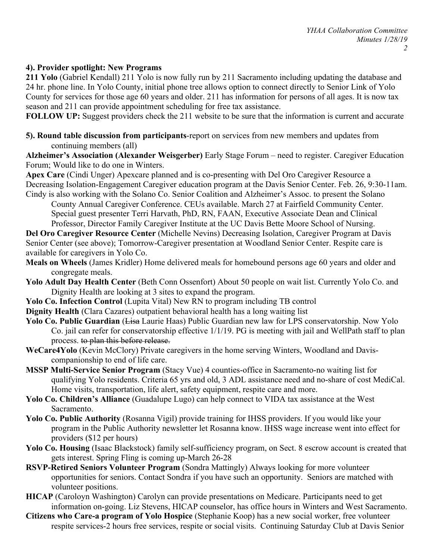#### **4). Provider spotlight: New Programs**

**211 Yolo** (Gabriel Kendall) 211 Yolo is now fully run by 211 Sacramento including updating the database and 24 hr. phone line. In Yolo County, initial phone tree allows option to connect directly to Senior Link of Yolo County for services for those age 60 years and older. 211 has information for persons of all ages. It is now tax season and 211 can provide appointment scheduling for free tax assistance.

**FOLLOW UP:** Suggest providers check the 211 website to be sure that the information is current and accurate

**5). Round table discussion from participants**-report on services from new members and updates from continuing members (all)

**Alzheimer's Association (Alexander Weisgerber)** Early Stage Forum – need to register. Caregiver Education Forum; Would like to do one in Winters.

**Apex Care** (Cindi Unger) Apexcare planned and is co-presenting with Del Oro Caregiver Resource a Decreasing Isolation-Engagement Caregiver education program at the Davis Senior Center. Feb. 26, 9:30-11am. Cindy is also working with the Solano Co. Senior Coalition and Alzheimer's Assoc. to present the Solano

County Annual Caregiver Conference. CEUs available. March 27 at Fairfield Community Center. Special guest presenter Terri Harvath, PhD, RN, FAAN, Executive Associate Dean and Clinical Professor, Director Family Caregiver Institute at the UC Davis Bette Moore School of Nursing.

**Del Oro Caregiver Resource Center** (Michelle Nevins) Decreasing Isolation, Caregiver Program at Davis Senior Center (see above); Tomorrow-Caregiver presentation at Woodland Senior Center. Respite care is available for caregivers in Yolo Co.

- **Meals on Wheels** (James Kridler) Home delivered meals for homebound persons age 60 years and older and congregate meals.
- **Yolo Adult Day Health Center** (Beth Conn Ossenfort) About 50 people on wait list. Currently Yolo Co. and Dignity Health are looking at 3 sites to expand the program.

**Yolo Co. Infection Control** (Lupita Vital) New RN to program including TB control

**Dignity Health** (Clara Cazares) outpatient behavioral health has a long waiting list

- Yolo Co. Public Guardian (Lisa Laurie Haas) Public Guardian new law for LPS conservatorship. Now Yolo Co. jail can refer for conservatorship effective 1/1/19. PG is meeting with jail and WellPath staff to plan process. to plan this before release.
- **WeCare4Yolo** (Kevin McClory) Private caregivers in the home serving Winters, Woodland and Daviscompanionship to end of life care.
- **MSSP Multi-Service Senior Program** (Stacy Vue) 4 counties-office in Sacramento-no waiting list for qualifying Yolo residents. Criteria 65 yrs and old, 3 ADL assistance need and no-share of cost MediCal. Home visits, transportation, life alert, safety equipment, respite care and more.
- **Yolo Co. Children's Alliance** (Guadalupe Lugo) can help connect to VIDA tax assistance at the West Sacramento.
- **Yolo Co. Public Authority** (Rosanna Vigil) provide training for IHSS providers. If you would like your program in the Public Authority newsletter let Rosanna know. IHSS wage increase went into effect for providers (\$12 per hours)
- **Yolo Co. Housing** (Isaac Blackstock) family self-sufficiency program, on Sect. 8 escrow account is created that gets interest. Spring Fling is coming up-March 26-28
- **RSVP-Retired Seniors Volunteer Program** (Sondra Mattingly) Always looking for more volunteer opportunities for seniors. Contact Sondra if you have such an opportunity. Seniors are matched with volunteer positions.
- **HICAP** (Caroloyn Washington) Carolyn can provide presentations on Medicare. Participants need to get information on-going. Liz Stevens, HICAP counselor, has office hours in Winters and West Sacramento.
- **Citizens who Care-a program of Yolo Hospice** (Stephanie Koop) has a new social worker, free volunteer respite services-2 hours free services, respite or social visits. Continuing Saturday Club at Davis Senior